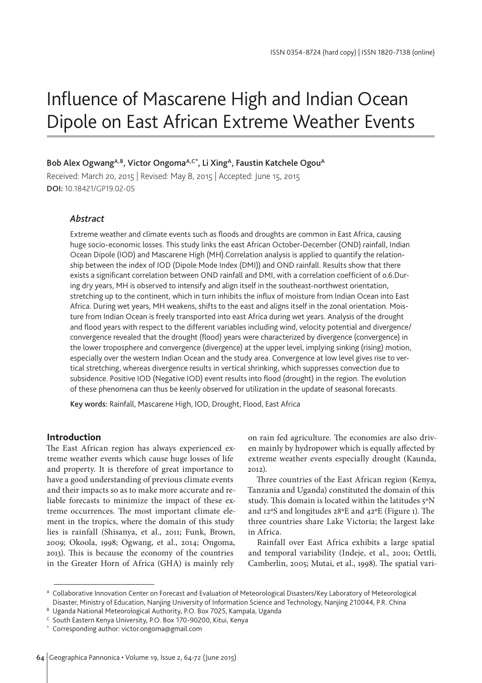# Influence of Mascarene High and Indian Ocean Dipole on East African Extreme Weather Events

# Bob Alex Ogwang<sup>A,B</sup>, Victor Ongoma<sup>A,C\*</sup>, Li Xing<sup>A</sup>, Faustin Katchele Ogou<sup>A</sup>

Received: March 20, 2015 | Revised: May 8, 2015 | Accepted: June 15, 2015 DOI: 10.18421/GP19.02-05

# *Abstract*

Extreme weather and climate events such as floods and droughts are common in East Africa, causing huge socio-economic losses. This study links the east African October-December (OND) rainfall, Indian Ocean Dipole (IOD) and Mascarene High (MH).Correlation analysis is applied to quantify the relationship between the index of IOD (Dipole Mode Index (DMI)) and OND rainfall. Results show that there exists a significant correlation between OND rainfall and DMI, with a correlation coefficient of 0.6.During dry years, MH is observed to intensify and align itself in the southeast-northwest orientation, stretching up to the continent, which in turn inhibits the influx of moisture from Indian Ocean into East Africa. During wet years, MH weakens, shifts to the east and aligns itself in the zonal orientation. Moisture from Indian Ocean is freely transported into east Africa during wet years. Analysis of the drought and flood years with respect to the different variables including wind, velocity potential and divergence/ convergence revealed that the drought (flood) years were characterized by divergence (convergence) in the lower troposphere and convergence (divergence) at the upper level, implying sinking (rising) motion, especially over the western Indian Ocean and the study area. Convergence at low level gives rise to vertical stretching, whereas divergence results in vertical shrinking, which suppresses convection due to subsidence. Positive IOD (Negative IOD) event results into flood (drought) in the region. The evolution of these phenomena can thus be keenly observed for utilization in the update of seasonal forecasts.

Key words: Rainfall, Mascarene High, IOD, Drought, Flood, East Africa

## **Introduction**

The East African region has always experienced extreme weather events which cause huge losses of life and property. It is therefore of great importance to have a good understanding of previous climate events and their impacts so as to make more accurate and reliable forecasts to minimize the impact of these extreme occurrences. The most important climate element in the tropics, where the domain of this study lies is rainfall (Shisanya, et al., 2011; Funk, Brown, 2009; Okoola, 1998; Ogwang, et al., 2014; Ongoma, 2013). This is because the economy of the countries in the Greater Horn of Africa (GHA) is mainly rely

on rain fed agriculture. The economies are also driven mainly by hydropower which is equally affected by extreme weather events especially drought (Kaunda, 2012).

Three countries of the East African region (Kenya, Tanzania and Uganda) constituted the domain of this study. This domain is located within the latitudes 5ºN and 12ºS and longitudes 28ºE and 42ºE (Figure 1). The three countries share Lake Victoria; the largest lake in Africa.

Rainfall over East Africa exhibits a large spatial and temporal variability (Indeje, et al., 2001; Oettli, Camberlin, 2005; Mutai, et al., 1998). The spatial vari-

<sup>A</sup> Collaborative Innovation Center on Forecast and Evaluation of Meteorological Disasters/Key Laboratory of Meteorological Disaster, Ministry of Education, Nanjing University of Information Science and Technology, Nanjing 210044, P.R. China

B Uganda National Meteorological Authority, P.O. Box 7025, Kampala, Uganda

<sup>C</sup> South Eastern Kenya University, P.O. Box 170-90200, Kitui, Kenya

Corresponding author: victor.ongoma@gmail.com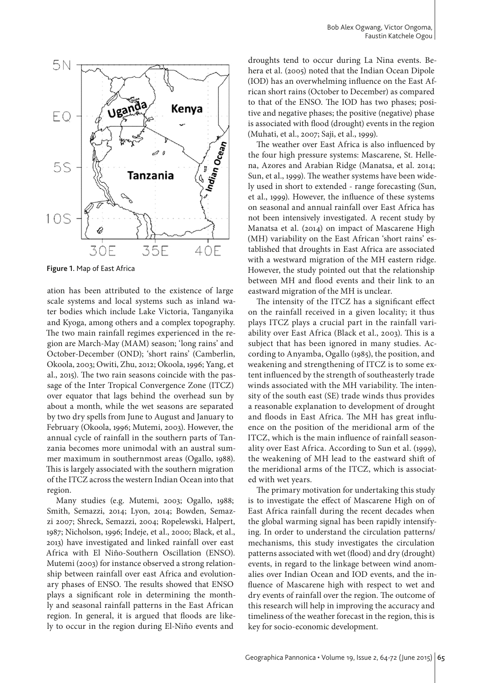

**Figure 1.** Map of East Africa

ation has been attributed to the existence of large scale systems and local systems such as inland water bodies which include Lake Victoria, Tanganyika and Kyoga, among others and a complex topography. The two main rainfall regimes experienced in the region are March-May (MAM) season; 'long rains' and October-December (OND); 'short rains' (Camberlin, Okoola, 2003; Owiti, Zhu, 2012; Okoola, 1996; Yang, et al., 2015). The two rain seasons coincide with the passage of the Inter Tropical Convergence Zone (ITCZ) over equator that lags behind the overhead sun by about a month, while the wet seasons are separated by two dry spells from June to August and January to February (Okoola, 1996; Mutemi, 2003). However, the annual cycle of rainfall in the southern parts of Tanzania becomes more unimodal with an austral summer maximum in southernmost areas (Ogallo, 1988). This is largely associated with the southern migration of the ITCZ across the western Indian Ocean into that region.

Many studies (e.g. Mutemi, 2003; Ogallo, 1988; Smith, Semazzi, 2014; Lyon, 2014; Bowden, Semazzi 2007; Shreck, Semazzi, 2004; Ropelewski, Halpert, 1987; Nicholson, 1996; Indeje, et al., 2000; Black, et al., 2013) have investigated and linked rainfall over east Africa with El Niño-Southern Oscillation (ENSO). Mutemi (2003) for instance observed a strong relationship between rainfall over east Africa and evolutionary phases of ENSO. The results showed that ENSO plays a significant role in determining the monthly and seasonal rainfall patterns in the East African region. In general, it is argued that floods are likely to occur in the region during El-Niño events and

droughts tend to occur during La Nina events. Behera et al. (2005) noted that the Indian Ocean Dipole (IOD) has an overwhelming influence on the East African short rains (October to December) as compared to that of the ENSO. The IOD has two phases; positive and negative phases; the positive (negative) phase is associated with flood (drought) events in the region (Muhati, et al., 2007; Saji, et al., 1999).

The weather over East Africa is also influenced by the four high pressure systems: Mascarene, St. Hellena, Azores and Arabian Ridge (Manatsa, et al. 2014; Sun, et al., 1999). The weather systems have been widely used in short to extended - range forecasting (Sun, et al., 1999). However, the influence of these systems on seasonal and annual rainfall over East Africa has not been intensively investigated. A recent study by Manatsa et al. (2014) on impact of Mascarene High (MH) variability on the East African 'short rains' established that droughts in East Africa are associated with a westward migration of the MH eastern ridge. However, the study pointed out that the relationship between MH and flood events and their link to an eastward migration of the MH is unclear.

The intensity of the ITCZ has a significant effect on the rainfall received in a given locality; it thus plays ITCZ plays a crucial part in the rainfall variability over East Africa (Black et al., 2003). This is a subject that has been ignored in many studies. According to Anyamba, Ogallo (1985), the position, and weakening and strengthening of ITCZ is to some extent influenced by the strength of southeasterly trade winds associated with the MH variability. The intensity of the south east (SE) trade winds thus provides a reasonable explanation to development of drought and floods in East Africa. The MH has great influence on the position of the meridional arm of the ITCZ, which is the main influence of rainfall seasonality over East Africa. According to Sun et al. (1999), the weakening of MH lead to the eastward shift of the meridional arms of the ITCZ, which is associated with wet years.

The primary motivation for undertaking this study is to investigate the effect of Mascarene High on of East Africa rainfall during the recent decades when the global warming signal has been rapidly intensifying. In order to understand the circulation patterns/ mechanisms, this study investigates the circulation patterns associated with wet (flood) and dry (drought) events, in regard to the linkage between wind anomalies over Indian Ocean and IOD events, and the influence of Mascarene high with respect to wet and dry events of rainfall over the region. The outcome of this research will help in improving the accuracy and timeliness of the weather forecast in the region, this is key for socio-economic development.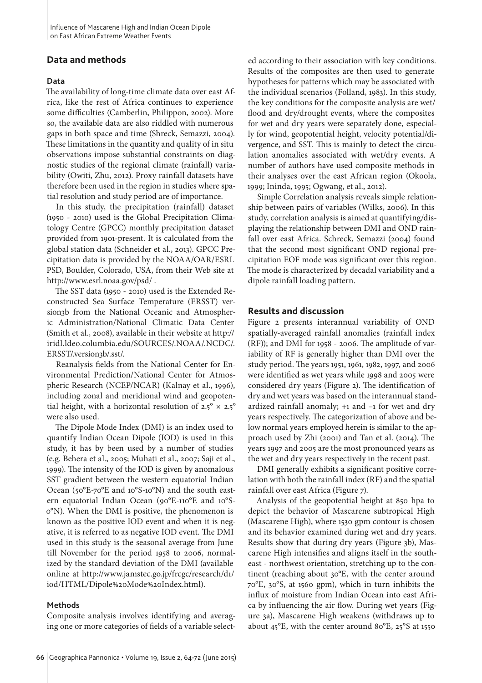# **Data and methods**

#### **Data**

The availability of long-time climate data over east Africa, like the rest of Africa continues to experience some difficulties (Camberlin, Philippon, 2002). More so, the available data are also riddled with numerous gaps in both space and time (Shreck, Semazzi, 2004). These limitations in the quantity and quality of in situ observations impose substantial constraints on diagnostic studies of the regional climate (rainfall) variability (Owiti, Zhu, 2012). Proxy rainfall datasets have therefore been used in the region in studies where spatial resolution and study period are of importance.

In this study, the precipitation (rainfall) dataset (1950 - 2010) used is the Global Precipitation Climatology Centre (GPCC) monthly precipitation dataset provided from 1901-present. It is calculated from the global station data (Schneider et al., 2013). GPCC Precipitation data is provided by the NOAA/OAR/ESRL PSD, Boulder, Colorado, USA, from their Web site at http://www.esrl.noaa.gov/psd/ .

The SST data (1950 - 2010) used is the Extended Reconstructed Sea Surface Temperature (ERSST) version3b from the National Oceanic and Atmospheric Administration/National Climatic Data Center (Smith et al., 2008), available in their website at http:// iridl.ldeo.columbia.edu/SOURCES/.NOAA/.NCDC/. ERSST/.version3b/.sst/.

Reanalysis fields from the National Center for Environmental Prediction/National Center for Atmospheric Research (NCEP/NCAR) (Kalnay et al., 1996), including zonal and meridional wind and geopotential height, with a horizontal resolution of  $2.5^\circ \times 2.5^\circ$ were also used.

The Dipole Mode Index (DMI) is an index used to quantify Indian Ocean Dipole (IOD) is used in this study, it has by been used by a number of studies (e.g. Behera et al., 2005; Muhati et al., 2007; Saji et al., 1999). The intensity of the IOD is given by anomalous SST gradient between the western equatorial Indian Ocean (50°E-70°E and 10°S-10°N) and the south eastern equatorial Indian Ocean (90°E-110°E and 10°S-0°N). When the DMI is positive, the phenomenon is known as the positive IOD event and when it is negative, it is referred to as negative IOD event. The DMI used in this study is the seasonal average from June till November for the period 1958 to 2006, normalized by the standard deviation of the DMI (available online at http://www.jamstec.go.jp/frcgc/research/d1/ iod/HTML/Dipole%20Mode%20Index.html).

#### **Methods**

Composite analysis involves identifying and averaging one or more categories of fields of a variable selected according to their association with key conditions. Results of the composites are then used to generate hypotheses for patterns which may be associated with the individual scenarios (Folland, 1983). In this study, the key conditions for the composite analysis are wet/ flood and dry/drought events, where the composites for wet and dry years were separately done, especially for wind, geopotential height, velocity potential/divergence, and SST. This is mainly to detect the circulation anomalies associated with wet/dry events. A number of authors have used composite methods in their analyses over the east African region (Okoola, 1999; Ininda, 1995; Ogwang, et al., 2012).

Simple Correlation analysis reveals simple relationship between pairs of variables (Wilks, 2006). In this study, correlation analysis is aimed at quantifying/displaying the relationship between DMI and OND rainfall over east Africa. Schreck, Semazzi (2004) found that the second most significant OND regional precipitation EOF mode was significant over this region. The mode is characterized by decadal variability and a dipole rainfall loading pattern.

#### **Results and discussion**

Figure 2 presents interannual variability of OND spatially-averaged rainfall anomalies (rainfall index (RF)); and DMI for 1958 - 2006. The amplitude of variability of RF is generally higher than DMI over the study period. The years 1951, 1961, 1982, 1997, and 2006 were identified as wet years while 1998 and 2005 were considered dry years (Figure 2). The identification of dry and wet years was based on the interannual standardized rainfall anomaly; +1 and –1 for wet and dry years respectively. The categorization of above and below normal years employed herein is similar to the approach used by Zhi (2001) and Tan et al. (2014). The years 1997 and 2005 are the most pronounced years as the wet and dry years respectively in the recent past.

DMI generally exhibits a significant positive correlation with both the rainfall index (RF) and the spatial rainfall over east Africa (Figure 7).

Analysis of the geopotential height at 850 hpa to depict the behavior of Mascarene subtropical High (Mascarene High), where 1530 gpm contour is chosen and its behavior examined during wet and dry years. Results show that during dry years (Figure 3b), Mascarene High intensifies and aligns itself in the southeast - northwest orientation, stretching up to the continent (reaching about 30°E, with the center around 70°E, 30°S, at 1560 gpm), which in turn inhibits the influx of moisture from Indian Ocean into east Africa by influencing the air flow. During wet years (Figure 3a), Mascarene High weakens (withdraws up to about 45°E, with the center around 80°E, 25°S at 1550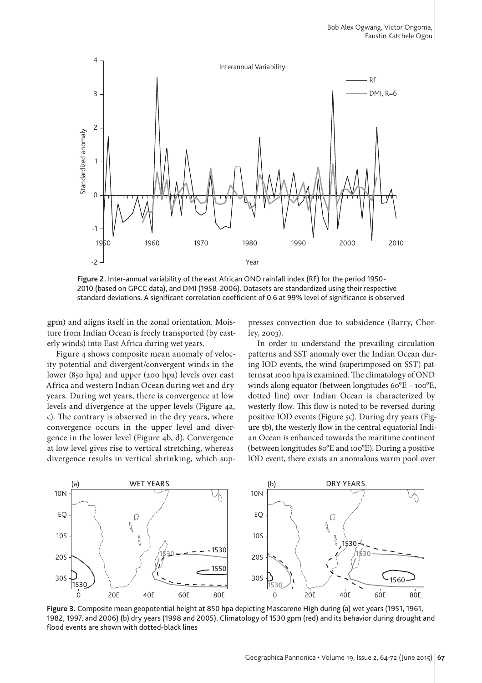

**Figure 2.** Inter-annual variability of the east African OND rainfall index (RF) for the period 1950- 2010 (based on GPCC data), and DMI (1958-2006). Datasets are standardized using their respective

gpm) and aligns itself in the zonal orientation. Moisture from Indian Ocean is freely transported (by easterly winds) into East Africa during wet years.

Figure 4 shows composite mean anomaly of velocity potential and divergent/convergent winds in the lower (850 hpa) and upper (200 hpa) levels over east Africa and western Indian Ocean during wet and dry years. During wet years, there is convergence at low levels and divergence at the upper levels (Figure 4a, c). The contrary is observed in the dry years, where convergence occurs in the upper level and divergence in the lower level (Figure 4b, d). Convergence at low level gives rise to vertical stretching, whereas divergence results in vertical shrinking, which suppresses convection due to subsidence (Barry, Chorley, 2003).

In order to understand the prevailing circulation patterns and SST anomaly over the Indian Ocean during IOD events, the wind (superimposed on SST) patterns at 1000 hpa is examined. The climatology of OND winds along equator (between longitudes 60°E – 100°E, dotted line) over Indian Ocean is characterized by westerly flow. This flow is noted to be reversed during positive IOD events (Figure 5c). During dry years (Figure 5b), the westerly flow in the central equatorial Indian Ocean is enhanced towards the maritime continent (between longitudes 80°E and 100°E). During a positive IOD event, there exists an anomalous warm pool over



**Figure 3.** Composite mean geopotential height at 850 hpa depicting Mascarene High during (a) wet years (1951, 1961, 1982, 1997, and 2006) (b) dry years (1998 and 2005). Climatology of 1530 gpm (red) and its behavior during drought and flood events are shown with dotted-black lines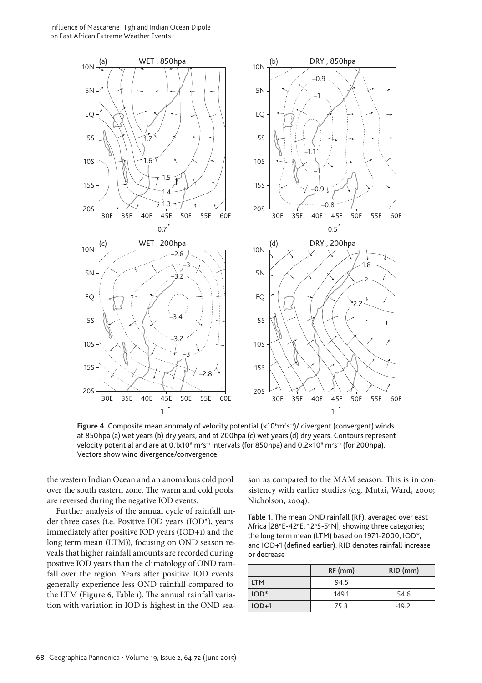Influence of Mascarene High and Indian Ocean Dipole on East African Extreme Weather Events



Figure 4. Composite mean anomaly of velocity potential (x10<sup>6</sup>m<sup>2</sup>s<sup>-1</sup>)/ divergent (convergent) winds at 850hpa (a) wet years (b) dry years, and at 200hpa (c) wet years (d) dry years. Contours represent velocity potential and are at 0.1x10<sup>6</sup> m<sup>2</sup>s<sup>-1</sup> intervals (for 850hpa) and 0.2x10<sup>6</sup> m<sup>2</sup>s<sup>-1</sup> (for 200hpa). Vectors show wind divergence/convergence

the western Indian Ocean and an anomalous cold pool over the south eastern zone. The warm and cold pools are reversed during the negative IOD events.

Further analysis of the annual cycle of rainfall under three cases (i.e. Positive IOD years (IOD\*), years immediately after positive IOD years (IOD+1) and the long term mean (LTM)), focusing on OND season reveals that higher rainfall amounts are recorded during positive IOD years than the climatology of OND rainfall over the region. Years after positive IOD events generally experience less OND rainfall compared to the LTM (Figure 6, Table 1). The annual rainfall variation with variation in IOD is highest in the OND season as compared to the MAM season. This is in consistency with earlier studies (e.g. Mutai, Ward, 2000; Nicholson, 2004).

**Table 1.** The mean OND rainfall (RF), averaged over east Africa [28°E-42°E, 12°S-5°N], showing three categories; the long term mean (LTM) based on 1971-2000, IOD\*, and IOD+1 (defined earlier). RID denotes rainfall increase or decrease

|            | $RF$ (mm) | $RID$ (mm) |
|------------|-----------|------------|
| <b>LTM</b> | 94.5      |            |
| $IOD*$     | 149.1     | 54.6       |
| $IOD+1$    | 75.3      | $-19.2$    |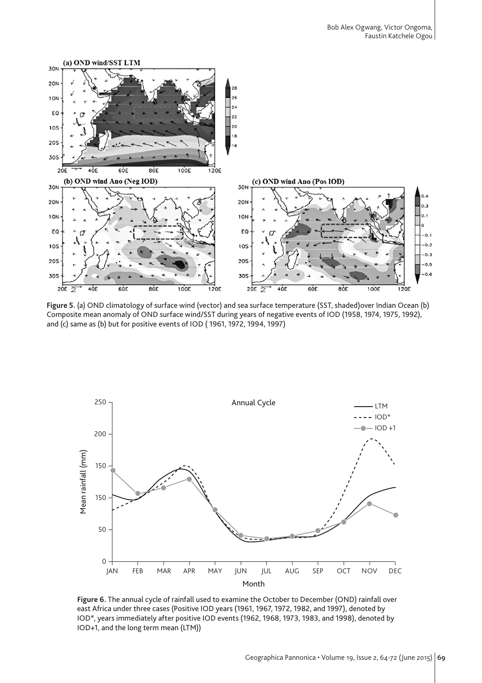

**Figure 5.** (a) OND climatology of surface wind (vector) and sea surface temperature (SST, shaded)over Indian Ocean (b) Composite mean anomaly of OND surface wind/SST during years of negative events of IOD (1958, 1974, 1975, 1992), and (c) same as (b) but for positive events of IOD ( 1961, 1972, 1994, 1997)



**Figure 6.** The annual cycle of rainfall used to examine the October to December (OND) rainfall over east Africa under three cases (Positive IOD years (1961, 1967, 1972, 1982, and 1997), denoted by IOD\*, years immediately after positive IOD events (1962, 1968, 1973, 1983, and 1998), denoted by IOD+1, and the long term mean (LTM))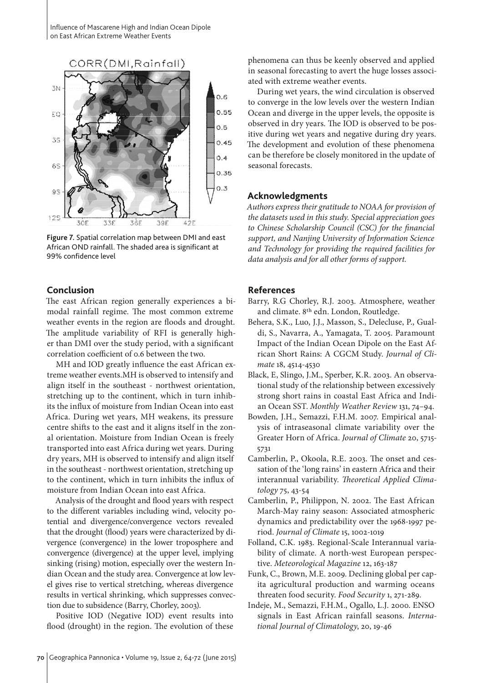

**Figure 7.** Spatial correlation map between DMI and east African OND rainfall. The shaded area is significant at 99% confidence level

## **Conclusion**

The east African region generally experiences a bimodal rainfall regime. The most common extreme weather events in the region are floods and drought. The amplitude variability of RFI is generally higher than DMI over the study period, with a significant correlation coefficient of 0.6 between the two.

MH and IOD greatly influence the east African extreme weather events.MH is observed to intensify and align itself in the southeast - northwest orientation, stretching up to the continent, which in turn inhibits the influx of moisture from Indian Ocean into east Africa. During wet years, MH weakens, its pressure centre shifts to the east and it aligns itself in the zonal orientation. Moisture from Indian Ocean is freely transported into east Africa during wet years. During dry years, MH is observed to intensify and align itself in the southeast - northwest orientation, stretching up to the continent, which in turn inhibits the influx of moisture from Indian Ocean into east Africa.

Analysis of the drought and flood years with respect to the different variables including wind, velocity potential and divergence/convergence vectors revealed that the drought (flood) years were characterized by divergence (convergence) in the lower troposphere and convergence (divergence) at the upper level, implying sinking (rising) motion, especially over the western Indian Ocean and the study area. Convergence at low level gives rise to vertical stretching, whereas divergence results in vertical shrinking, which suppresses convection due to subsidence (Barry, Chorley, 2003).

Positive IOD (Negative IOD) event results into flood (drought) in the region. The evolution of these phenomena can thus be keenly observed and applied in seasonal forecasting to avert the huge losses associated with extreme weather events.

During wet years, the wind circulation is observed to converge in the low levels over the western Indian Ocean and diverge in the upper levels, the opposite is observed in dry years. The IOD is observed to be positive during wet years and negative during dry years. The development and evolution of these phenomena can be therefore be closely monitored in the update of seasonal forecasts.

## **Acknowledgments**

*Authors express their gratitude to NOAA for provision of the datasets used in this study. Special appreciation goes to Chinese Scholarship Council (CSC) for the financial support, and Nanjing University of Information Science and Technology for providing the required facilities for data analysis and for all other forms of support.*

### **References**

Barry, R.G Chorley, R.J. 2003. Atmosphere, weather and climate. 8th edn. London, Routledge.

- Behera, S.K., Luo, J.J., Masson, S., Delecluse, P., Gualdi, S., Navarra, A., Yamagata, T. 2005. Paramount Impact of the Indian Ocean Dipole on the East African Short Rains: A CGCM Study. *Journal of Climate* 18, 4514-4530
- Black, E, Slingo, J.M., Sperber, K.R. 2003. An observational study of the relationship between excessively strong short rains in coastal East Africa and Indian Ocean SST. *Monthly Weather Review* 131, 74–94.
- Bowden, J.H., Semazzi, F.H.M. 2007. Empirical analysis of intraseasonal climate variability over the Greater Horn of Africa. *Journal of Climate* 20, 5715- 5731
- Camberlin, P., Okoola, R.E. 2003. The onset and cessation of the 'long rains' in eastern Africa and their interannual variability. *Theoretical Applied Climatology* 75, 43-54
- Camberlin, P., Philippon, N. 2002. The East African March-May rainy season: Associated atmospheric dynamics and predictability over the 1968-1997 period. *Journal of Climate* 15, 1002-1019
- Folland, C.K. 1983. Regional-Scale Interannual variability of climate. A north-west European perspective. *Meteorological Magazine* 12, 163-187
- Funk, C., Brown, M.E. 2009. Declining global per capita agricultural production and warming oceans threaten food security. *Food Security* 1, 271-289.
- Indeje, M., Semazzi, F.H.M., Ogallo, L.J. 2000. ENSO signals in East African rainfall seasons. *International Journal of Climatology*, 20, 19-46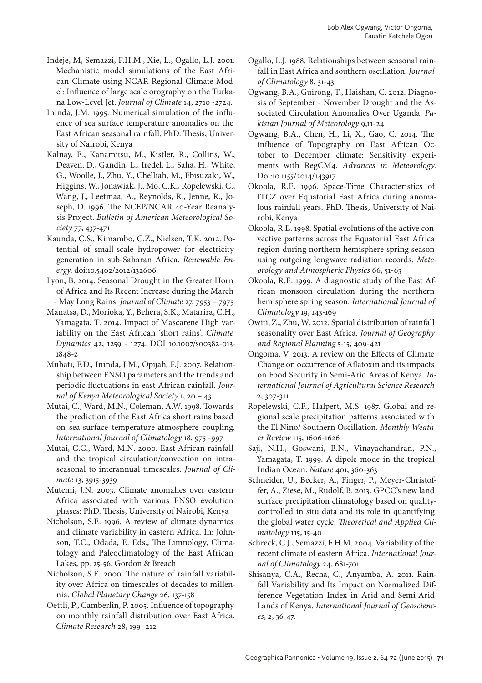- Indeje, M, Semazzi, F.H.M., Xie, L., Ogallo, L.J. 2001. Mechanistic model simulations of the East African Climate using NCAR Regional Climate Model: Influence of large scale orography on the Turkana Low-Level Jet. *Journal of Climate* 14, 2710 -2724.
- Ininda, J.M. 1995. Numerical simulation of the influence of sea surface temperature anomalies on the East African seasonal rainfall. PhD. Thesis, University of Nairobi, Kenya
- Kalnay, E., Kanamitsu, M., Kistler, R., Collins, W., Deaven, D., Gandin, L., Iredel, L., Saha, H., White, G., Woolle, J., Zhu, Y., Chelliah, M., Ebisuzaki, W., Higgins, W., Jonawiak, J., Mo, C.K., Ropelewski, C., Wang, J., Leetmaa, A., Reynolds, R., Jenne, R., Joseph, D. 1996. The NCEP/NCAR 40-Year Reanalysis Project. *Bulletin of American Meteorological Society* 77, 437-471
- Kaunda, C.S., Kimambo, C.Z., Nielsen, T.K. 2012. Potential of small-scale hydropower for electricity generation in sub-Saharan Africa. *Renewable Energy*. doi:10.5402/2012/132606.
- Lyon, B. 2014. Seasonal Drought in the Greater Horn of Africa and Its Recent Increase during the March - May Long Rains. *Journal of Climate* 27, 7953 – 7975
- Manatsa, D., Morioka, Y., Behera, S.K., Matarira, C.H., Yamagata, T. 2014. Impact of Mascarene High variability on the East African 'short rains'. *Climate Dynamics* 42, 1259 - 1274. DOI 10.1007/s00382-013- 1848-z
- Muhati, F.D., Ininda, J.M., Opijah, F.J. 2007. Relationship between ENSO parameters and the trends and periodic fluctuations in east African rainfall. *Journal of Kenya Meteorological Society* 1, 20 – 43.
- Mutai, C., Ward, M.N., Coleman, A.W. 1998. Towards the prediction of the East Africa short rains based on sea-surface temperature-atmosphere coupling. *International Journal of Climatology* 18, 975 -997
- Mutai, C.C., Ward, M.N. 2000. East African rainfall and the tropical circulation/convection on intraseasonal to interannual timescales. *Journal of Climate* 13, 3915-3939
- Mutemi, J.N. 2003. Climate anomalies over eastern Africa associated with various ENSO evolution phases: PhD. Thesis, University of Nairobi, Kenya
- Nicholson, S.E. 1996. A review of climate dynamics and climate variability in eastern Africa. In: Johnson, T.C., Odada, E. Eds., The Limnology, Climatology and Paleoclimatology of the East African Lakes, pp. 25-56. Gordon & Breach
- Nicholson, S.E. 2000. The nature of rainfall variability over Africa on timescales of decades to millennia. *Global Planetary Change* 26, 137-158
- Oettli, P., Camberlin, P. 2005. Influence of topography on monthly rainfall distribution over East Africa. *Climate Research* 28, 199 -212
- Ogallo, L.J. 1988. Relationships between seasonal rainfall in East Africa and southern oscillation. *Journal of Climatology* 8, 31-43
- Ogwang, B.A., Guirong, T., Haishan, C. 2012. Diagnosis of September - November Drought and the Associated Circulation Anomalies Over Uganda. *Pakistan Journal of Meteorology* 9,11-24
- Ogwang, B.A., Chen, H., Li, X., Gao, C. 2014. The influence of Topography on East African October to December climate: Sensitivity experiments with RegCM4. *Advances in Meteorology*. Doi:10.1155/2014/143917.
- Okoola, R.E. 1996. Space-Time Characteristics of ITCZ over Equatorial East Africa during anomalous rainfall years. PhD. Thesis, University of Nairobi, Kenya
- Okoola, R.E. 1998. Spatial evolutions of the active convective patterns across the Equatorial East Africa region during northern hemisphere spring season using outgoing longwave radiation records. *Meteorology and Atmospheric Physics* 66, 51-63
- Okoola, R.E. 1999. A diagnostic study of the East African monsoon circulation during the northern hemisphere spring season. *International Journal of Climatology* 19, 143-169
- Owiti, Z., Zhu, W. 2012. Spatial distribution of rainfall seasonality over East Africa. *Journal of Geography and Regional Planning* 5-15, 409-421
- Ongoma, V. 2013. A review on the Effects of Climate Change on occurrence of Aflatoxin and its impacts on Food Security in Semi-Arid Areas of Kenya. *International Journal of Agricultural Science Research* 2, 307-311
- Ropelewski, C.F., Halpert, M.S. 1987. Global and regional scale precipitation patterns associated with the El Nino/ Southern Oscillation. *Monthly Weather Review* 115, 1606-1626
- Saji, N.H., Goswani, B.N., Vinayachandran, P.N., Yamagata, T. 1999. A dipole mode in the tropical Indian Ocean. *Nature* 401, 360-363
- Schneider, U., Becker, A., Finger, P., Meyer-Christoffer, A., Ziese, M., Rudolf, B. 2013. GPCC's new land surface precipitation climatology based on qualitycontrolled in situ data and its role in quantifying the global water cycle. *Theoretical and Applied Climatology* 115, 15-40
- Schreck, C.J., Semazzi, F.H.M. 2004. Variability of the recent climate of eastern Africa. *International Journal of Climatology* 24, 681-701
- Shisanya, C.A., Recha, C., Anyamba, A. 2011. Rainfall Variability and Its Impact on Normalized Difference Vegetation Index in Arid and Semi-Arid Lands of Kenya. *International Journal of Geosciences*, 2, 36-47.